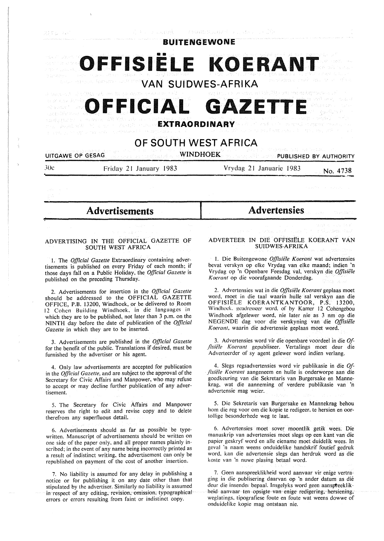

onak biya Asrek **OFFICIAL GAZETT** k Pracock (\* gangsidah mela **EXTRAORDINARY**  Johanne H

**OF SOUTH WEST AFRICA** 

#### .<br>1999 - Stille Andrew British **WINDHOEK PUBLISHED BY AUTHORITY UITGAWE OP GESAG**

**"1--**

Jue Friday 21 January 1983

Vrydag 21 Januaric 1983 No. **4738** 

April 3

uni<br>Valenta in Serie

- **Advertisements** 

## **ADVERTISING IN THE OFFICIAL** GAZETTE OF **SOUTH WEST AFRICA**

I. The *Official Gazette* Extraordinary containing advertisements is published on every Friday of each month; if those days fall on a Public Holiday, the *Official Gazette* is published on the preceding Thursday.

2. Advertisements for insertion in the *Official Gazette*  should be addressed to the OFFICIAL GAZETTE OFFICE, P.B. 13200, Windhoek, or be delivered to Room 12 Cohen Building Windhoek, in die languages in which they are to be published, not later than 3 p.m. on the NINTH day before the date of publication of the *Official Gazette* in which they are to be inserted.

3. Advertisements are published in the *Official Gazette*  for the benefit of the public. Translations if desired, must be furnished by the advertiser or his agent.

4. Only law advertisements are accepted for publication in the *Official Gazette,* and are subject to the approval of the Secretary for Civic Affairs and Manpower, who may refuse to accept or may decline further publication of any advertisement.

5. The Secretary for Civic Affairs and Manpower reserves the right to edit and revise copy and to delete therefrom any superfluous detail.

6. Advertisements should as far as possible be typewritten. Manuscript of advertisements should be written on one side of the paper only, and all proper names plainly inscribed; in the event of any name being incorrectly printed as a result of indistinct writing, the advertisement can only be republished on payment of the cost of another insertion.

7. No liability is assumed for any delay in publishing a notice or for publishing it on any date other than that stipulated by the advertiser. Similarly no liability is assumed in respect of any editing, revision, omission, typographical errors or errors resulting from faint or indistinct copy.

## **Advertensies**

ADVERTEER IN DIE OFFISIELE KOERANT VAN SUIDWES-AFRIKA

I. Die Buitengewone *Offisiele Koerant* wat advertensies bevat verskyn op elke Vrydag van elke maand; indien 'n Vrydag op 'n Openbare Feesdag val, verskyn die *Offisiele Koerant* op die voorafgaande Donderdag.

2. Advertensies wat in die *Offisiële Koerant* geplaas moet word, moet in die taal waarin hulle sal verskyn aan die OFFfSIELE KOERANTKANTOOR, P.S. 13200, Windhoek. geadresseer word, of by Kamer 12 Cohengebou Windhoek afgelewer word, nie later nie as 3 nm op die NEGENDE dag voor die verskyning van die *Offisie/e Koerant,* waarin die advertensie geplaas moet word.

3. Advertensies word vir die openbare voordeel in die *Of- .fisie/e Koerant* gepubliseer. Vertalings moet deur die Adverteerder of sy agent gelewer word indien verlang.

4. Slegs regsadvertensies word vir publikasie in die *Of-Jisie/e Koerant* aangeneem en hulle is onderworpe aan die goedkeuring van die Sekretaris van Burgersake en Mannekrag, wat die aanneming of verdere publikasie van 'n advertensie mag weier.

5. Die Sekretaris van Burgersake en Mannekrag behou horn die reg voor om die kopie te redigeer, le hersien en oortollige besonderhede weg te laat.

6. Advertensies moet sover moontlik getik wees. Die rnanuskrip van advertensies moet slegs op een kant van die papier geskryf word en alle eiename moet duidelik wees. In geval 'n naarn weens onduidelike handskrif foutief gedruk word, kan die advertensie slegs dan herdruk word as die koste van 'n nuwe plasing betaal word.

7. Geen aanspreeklikheid word aanvaar vir enige vertraging in die publisering daarvar. op 'n ander datum as die deur die insender bepaal. Insgelyks word geen aanspreeklikheid aanvaar ten opsigte van enige redigering. hersiening, weglatings. tipografiese foute en foute wat weens dowwe of onduidelike kopie mag ontstaan nie.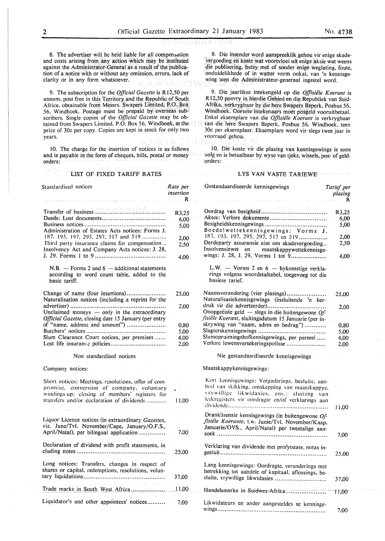8. The advertiser will be held liable for all compensation and costs arising from any action which may be instituted against the Administrator-General as a result of the publication of a notice with or without any omission, errors, lack of clarity or in any form whatsoever.

9. The subscription for the *Official Gazette* is R12,50 per annum, post free in this Territory and the Republic of South Africa. obtainable from Messrs. Swapers Limited, P.O. Box 56. Windhoek. Postage must be prepaid by overseas sub~ scribers. Single copies of the *Official Gazette* may be obtained from Swapers Limited. P.O. Box 56, Windhoek, at the price of 30c per copy. Copies are kept in stock for only two years.

10. The charge for the insertion of notices is as follows and is payable in the form of cheques, bills, postal or money orders:

## LIST OF FIXED TARIFF RATES

8. Die insender word aanspreeklik gehou vir enige skadevergoeding en koste wat voortvloei uit enige aksie wat weens die publisering, hetsy met of sonder enige weglating, foute, onduidelikhede of in watter vorm ookal, van 'n kennisgewing teen die Administrateur-generaal ingestel word.

9. Die jaarlikse intekengeld op die *Offisie1e Koerant* is R 12,50 posvry in hierdie Gebied en die Republiek van Suid-Afrika, verkrygbaar by die here Swapers Beperk, Posbus 56, Windhoek. Oorsese intekenaars moet posgeld vooruitbetaal. Enke! eksemplare van die *Offisiele Koerant* is verkrygbaar van die here Swapers Beperk. Posbus 56. Windhoek, teen 30c per eksemplaar. Eksemplare word vir slegs twee jaar in voorraad gehou.

10. Die koste vir die plasing van kennisgewings is soos volg en is betaalbaar by wyse van tjeks, wissels, pos- of geldorders:

### **LYS VAN VASTE TARIEWE**

| Standardised notices                                                                                                                                                                            | Rate per<br>insertion                | Gestandaardiseerde kennisgewings                                                                                                                                                                     | Tarief per<br>plasing |
|-------------------------------------------------------------------------------------------------------------------------------------------------------------------------------------------------|--------------------------------------|------------------------------------------------------------------------------------------------------------------------------------------------------------------------------------------------------|-----------------------|
|                                                                                                                                                                                                 | R.                                   | .<br>Den beskrive for de stadium i former al personale antico                                                                                                                                        | where $\mathbf R$     |
| Transfer of business and an anti-state of the set of the set of the set of the set of the set of the set of th                                                                                  | R3,25<br>6,00                        | .                                                                                                                                                                                                    | R3.25<br>6,00         |
| Administration of Estates Acts notices: Forms J.                                                                                                                                                | 5,00                                 | Boedelwettekennisgewings: Vorms J.                                                                                                                                                                   | 5,00                  |
| 187, 193, 197, 295, 297, 517 and 519<br>Third party insurance claims for compensation<br>Insolvency Act and Company Acts notices: J. 28,                                                        | 2,00<br>2,50                         | 187, 193, 197, 295, 297, 517 en 519<br>Derdeparty assuransie eise om skadevergoeding<br>Insolvensiewet en<br>maatskappywettekennisge-                                                                | 2,00<br>2,50          |
|                                                                                                                                                                                                 | 4,00                                 | wings: J. 28, J. 29, Vorms 1 tot 9                                                                                                                                                                   | 4,00                  |
| N.B. $-$ Forms 2 and 6 $-$ additional statements<br>according to word count table, added to the<br>basic tariff.                                                                                |                                      | L.W. - Vorms 2 en $6$ - bykomstige verkla-<br>rings volgens woordetaltabel, toegevoeg tot die<br>basiese tarief.                                                                                     |                       |
| Change of name (four insertions)<br>Naturalisation notices (including a reprint for the                                                                                                         | 25,00                                | Naamsverandering (vier plasings)<br>Naturalisasiekennisgewings (insluitende 'n her-                                                                                                                  | 25,00                 |
| Unclaimed moneys - only in the extraordinary<br>Official Gazette, closing date 15 January (per entry                                                                                            | 2,00                                 | Onopgeëiste geld — slegs in die buitengewone $Of$ -<br>fisiële Koerant, sluitingsdatum 15 Januarie (per in-                                                                                          | 2,00                  |
| of "name, address and amount")                                                                                                                                                                  | 0,80                                 | skrywing van "naam, adres en bedrag")                                                                                                                                                                | 0,80                  |
|                                                                                                                                                                                                 | 5,00                                 |                                                                                                                                                                                                      | 5.00                  |
| Slum Clearance Court notices, per premises                                                                                                                                                      | 4,00<br>2,00                         | Slumopruimingshofkennisgewings, per perseel<br>Verlore lewensversekeringspolisse                                                                                                                     | 4,00<br>2,00          |
| Non standardised notices                                                                                                                                                                        | Nie gestandaardiseerde kennisgewings |                                                                                                                                                                                                      |                       |
| Company notices:                                                                                                                                                                                |                                      | Maatskappykennisgewings:                                                                                                                                                                             |                       |
| Short notices: Meetings, resolutions, offer of com-<br>promise, conversion of company, voluntary<br>windings-up; closing of members' registers for<br>transfers and/or declaration of dividends | $\mathcal{L}^{\text{max}}$<br>11.00  | Kort kennisgewings: Vergaderings, besluite, aan-<br>bod van skikking, omskepping van maatskappye,<br>vrywillige likwidasies, ens.: sluiting van<br>lederegisters vir oordragte en/of verklarings aan | 11,00                 |
| Liquor Licence notices (in extraordinary Gazettes,<br>viz. June/Tvl. November/Cape, January/O.F.S.,                                                                                             | 7,00                                 | Dranklisensie kennisgewings (in buitengewone Of-<br>fisiële Koerante, t.w. Junie/Tvl. November/Kaap,<br>Januarie/OVS., April/Natal) per tweetalige aan-                                              |                       |
| April/Natal), per bilingual application                                                                                                                                                         |                                      |                                                                                                                                                                                                      | 7.00                  |
| Declaration of dividend with profit statements, in                                                                                                                                              | 25,00                                | Verklaring van dividende met profytstate, notas in-                                                                                                                                                  | 25.00                 |
| Long notices: Transfers, changes in respect of<br>shares or capital, redemptions, resolutions, volun-                                                                                           | 37,00                                | Lang kennisgewings: Oordragte, veranderings met<br>betrekking tot aandele of kapitaal, aflossings, be-                                                                                               | 37,00                 |
| e voltas var studio                                                                                                                                                                             |                                      | Handelsmerke in Suidwes-Afrika                                                                                                                                                                       | 11,00                 |
| Liquidator's and other appointees' notices                                                                                                                                                      | 7.00                                 | Likwidateurs en ander aangesteldes se kennisge-                                                                                                                                                      | 7,00                  |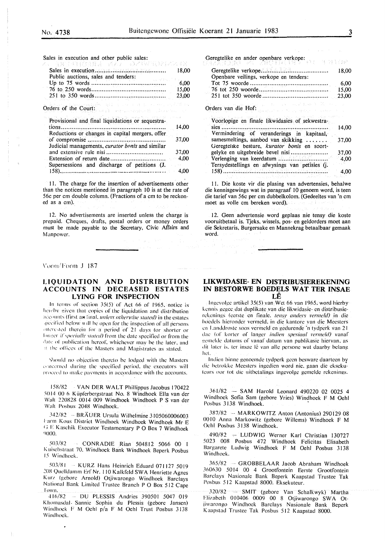The Insist Alexandr

Sales in execution and other public sales:<br> $\mathbb{Z} \times \mathbb{R} \times \mathbb{R} \times \mathbb{R} \times \mathbb{R} \times \mathbb{R} \times \mathbb{R} \times \mathbb{R} \times \mathbb{R} \times \mathbb{R} \times \mathbb{R} \times \mathbb{R} \times \mathbb{R} \times \mathbb{R} \times \mathbb{R} \times \mathbb{R} \times \mathbb{R} \times \mathbb{R} \times \mathbb{R} \times \mathbb{R} \times \mathbb{R} \times \mathbb{R} \times \$ Sales in execution ...•........•.•...•....•......••........ Public auctions, sales and tenders: Up to 75 words ......................................... . 76 to 250 words ......................................... . 251 to 350 words ....................................... . Orders of the Court: Provisional and final liquidations or sequestrations .......................................................... . Reductions or changes in capital mergers, offer of compromise ........................................... . Judicial managements, *curator bonis* and similar and extensive rule nisi ............................... . Extension of return date .............................. . Supersessions and discharge of petitions (J. 158) .................................................................... . 18,00 6,00 15,00 23,00 14,00 37,00 37,00 4,00 4,00

I I. The charge for the insertion of advertisements other than the notices mentioned in paragraph IO is at the rate of 56c per cm double column. (Fractions of a cm to be reckoned as a cm).

12. No advertisements are inserted unless the charge is prepaid. Cheques, drafts, postal orders or money orders must be made payable to the Secretary, Civic Affairs and Manpower.

### Vorm/Form J 187

## **LIQUIDATION AND DISTRIBUTION ACCOUNTS IN DECEASED ESTATES LYING FOR INSPECTION**

In terms of section  $35(5)$  of Act 66 of 1965, notice is hereby given that copies of the liquidation and distribution :ice, 11111ts (rirst **ai-1** :Illa!. 1111/ess othl'l'll'ise stated) in the estates specified below will be open for the inspection of all persons interested therein for a period of 21 days (or shorter or longer if specially stated) from the date specified or from the date of publication hereof, whichever may be the later, and It the offices of the Masters and Magistrates as stated.

Should no objection thereto be lodged with the Masters concerned during the specified period, the executors will proceed to make payments in accordance with the accounts.

158/82 VAN DER WALT Philfippus Jacobus 170422 5014 00 6 Küpferbergstraat No. 8 Windhoek Ella van der Walt 220828 0014 009 Windhoek Windhoek P S van der \Vall Poshus 2048 Windhoek.

342/82 -- BRAUER Ursula Wilhelmine 3105060006003 I arm Kous District Windhoek Windhoek Windhoek Mr E 1; I•: Kaschik Executor Testamentary PO Box 7 Windhoek ')000.

503/82 - CONRADIE Rian 504812 5066 00 I Kuischstraat 70. Windhoek Bank Windhoek Beperk Posbus 15 Windhoek.

503/81 - KURZ Hans Heinrich Eduard 071127 5019 208 Quclldamm Erf' Nr. 110 Kalkfeld SWA Henriette Agnes Kurz (gehorc Arnold) Otjiwarongo Windhoek Barclays National Bank Limited Trustee Branch PO Box 512 Cape !own.

416/82 DU PLESSIS Andries 390501 5047 019 K homasdal. Sannie Sophia du Plessis (gebore Jansen) Windhoek F M Oehl p/a F M Oehl Trust Posbus 3138 Windhoek.

Geregtelike en ander openbare verkope:

|                                        | 18.00 |
|----------------------------------------|-------|
| Openbare veilings, verkope en tenders: |       |
|                                        | 6.00  |
|                                        | 15.00 |
|                                        |       |

# Orders van die Hof:

| Voorlopige en finale likwidasies of sekwestra- |       |
|------------------------------------------------|-------|
| sies.<br>                                      | 14.00 |
| Vermindering of veranderings in kapitaal,      |       |
| samesmeltings, aanbod van skikking             | 37.00 |
| Geregtelike besture, kurator bonis en soort-   |       |
| gelyke en uitgebreide bevel nisi               | 37,00 |
|                                                | 4,00  |
| Tersydestellings en afwysings van petisies (j. |       |
|                                                | 4.00  |
|                                                |       |

11. Die koste vir die plasing van advertensies, behalwe die kennisgewings wat in paragraaf 10 genoem word, is teen die tarief van 56c per cm dubbelkolom. (Gedeeltes van 'n cm moet as voile cm bereken word). out de

12. Geen advertensie word geplaas nie tensy die koste vooruitbetaal is. Tjeks, wissels, pos- en geldorders moet aan die Sekretaris, Burgersake en Mannekrag betaalbaar gemaak word.

## **LIKWIDASIE- EN DISTRIBUSIEREKENING IN BESTORWE BOEDELS WAT TER INSAE LE**

lngcvolge artikcl 35(5) van Wet 66 van 1965. word hierby kennis gegee dat duplikate van die likwidasie- en distribusierckcnings (cerste en finale. temy anders *l'erme/d)* in die hocdcls hicronder vcrmcld. in die kantorc van die Mecstcrs en Landdroste soos vermeld en gedurende 'n tydperk van 21 dac (of korter of langer indien spesiaal vermeld) vanaf eemelde datums of vanaf datum van publikasie hiervan, as dit later is, ter insac lê van alle persone wat daarby belang het.

lndicn binnc gcnoemdc tydperk gcen besware daartccn by die hctrokke Mccstcrs ingedicn word nic. gaan die cksckulcurs oor lot die uitbctalings ingevolgc gcmeldc rekenings.

361 /82 - SAM Harold Leonard 490220 02 0025 4 Windhoek Sofia Sam (gebore Yries) Windhoek F M Oehl Posbus 3138 Windhoek.

387/82 - MARKOWITZ Anton (Antonius) 290129 08 00 IO Anna Markowitz (gebore Willems) Windhoek F **M**  Oehl Posbus 3138 Windhoek.

490/82 -- LUDWIG Werner Karl Christian 130727 5023 008 Posbus 472 Windhoek Felicitas Elisabeth Bargarcte Ludwig Windhoek F M Oehl Posbus 3138 Windhoek.

365/82 ··· GROBBELAAR Jacob Abraham Windhoek 360630 5014 00 4 Grootfontein Eerste Grootfontein Barclays Nasionalc Bank Beperk Kaapstad Trustee Tak l'osbus 512 Kaapstad 8000. Eksekuteur.

320/82 ·· SMIT (gebore Van Schalkwyk) Martha Flizabeth 010406 0009 00 8 Otjiwarongo SWA Otjiwarongo Windhoek Barclays Nasionale Bank Beperk Kaapstad Trustee Tak Posbus 512 Kaapstad 8000.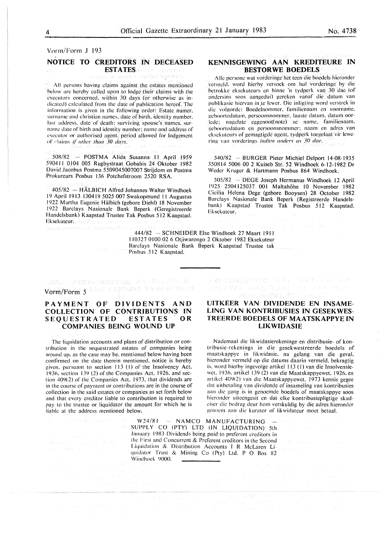## Vorm/Form J 193

## **NOTICE TO CREDITORS IN DECEASED**

**ESTATES** recording the collection

All persons having claims against the estates mentioned below arc hereby called upon to lodge their claims with the executors concerned. within 30 days (or otherwise as indicated) calculated from the date of publication hereof. The information is given in the following order: Estate numer, surname and christian names, date of birth, identity number. last address. date of death: surviving spouse's names. surname date of birth and identity number; name and address of cxcculor or authorised agent. period allowed for lodgement of claims if other than 30 days.

508/82 -- POSTMA Alida Susanna 11 April 1959 590411 0104 005 Rugbystraat Gobabis 24 Oktober 1982 David Jacobus Postma 5509045007007 Strijdom en Postma Prokurcurs Posbus 136 Potchefstroom 2520 RSA.

405/82 -- HÄLBICH Alfred Johannes Walter Windhoek 19 April 1913 130419 5025 007 Swakopmund 11 Augustus 1922 Martha Eugenic Halbich (gebore Diehl) 18 November 1922 Barclays Nasionalc Bank Beperk (Geregistreerde Handelsbank) Kaapstad Trustee Tak Posbus 512 Kaapstad. Eksekuteur. Sadder in 1996 ben<br>Jaarog seedening vand met VI

444/82 -- SCHNEIDER Else Windhoek 27 Maart 1911

OVAL PARKRICHEN ING XI BILLOPHIA Vorm/Form 5 MAR RUNGEON BRACENTALA

## **PAYMENT OF DIVIDENTS AND COLLECTION OF CONTRIBUTIONS IN**  SEQUESTRATED ESTATES **COMPANIES BEING WOUND UP**

The liquidation accounts and plans of distribution or contribution in the sequestrated estates of companies being wound up. as the case may be. mentioned below having been confirmed on the date therein mentioned. notice is hereby given. pursuant to section 113 (1) of the Insolvency Act. 1936. section 139 (2) of the Companies Act. 1926. and section 409(2) of the Companies Act. 1973. that dividends are in the course of payment or contributions are in the course of collection in the said estates or companies as set forth below and that every creditor liable to contribution is required to pay to the trustee or liquidator the amount for which he is liable at the address mentioned below.

## **KENNISGEWING AAN KREDITEURE IN BESTORWE BOEDELS**

Alie personc wat vordcringc hct teen die boedcls hicrondcr vcrmcld. word hicrby vcrsock om hul vordcringc by die betrokke eksekuteurs en binne 'n tydperk van 30 dae (of andcrsins soos aangcdui) gcrckcn vanaf die datum van publikasie hiervan in te lewer. Die inligting word verstrek in die volgorde: Boedelnommer, familienaam en voorname. geboortedatum, persoonsnommer, laaste datum, datum oorlede: nagelate eggenoot(note) se name. familienaam. geboortcdatum en pcrsoonsnommcr: naam en adres van eksckuleurs of gcmagtigdc agent. tydperk toegclaat vir lewcring van vorderings *indien anders as 30 dae*.

540/82 - BURGER Pieter Michie! Delport 14-08-1935 350814 5006 00 2 Kuiseb Str. 52 Windhoek 6-12-1982 Dr Weder Kruger & Hartmann Posbus 864 Windhoek.

505/82 - DEGE Joseph Hermanus Windhoek 12 April 1925 2504125037 001 Maltahohe IO November 1982 Cicilia Helena Dege (gebore Booysen) 28 October 1982 Barclays Nasionale Bank Beperk (Registreerde Handelsbank) K aapstad Trustee Tak Posbus 512 Kaapstad. Eksckutcur.

I !0327 0100 02 6 Otjiwarongo 2 Oktober 1982 Eksekuteur Barclays Nasionale Bank Beperk Kaapstad Trustee tak Posbus 512 Kaapstad.

> **UITKEER VAN DIVIDENDE EN INSAME-LING VAN KONTRIBUSIES IN GESEKWES-TREERDE BOEDELS OF MAATSKAPPYE IN LIKWIDASIE**

人身有足者为家村登上造者之一的意味,以高口身材

An Banzi Ko

Nademaal die likwidasierekeninge en distribusie- of kontribusic-rckenings in die gesekwestreerde boedels of maatskappye in lik widasie. na gelang van die geval. hicronder vermeld op die datums daarin vermeld, bekragtig is. word hicrby ingevolge artikel 113 ( I) van die lnsolvensiewct. 1936. artikcl 139 (2) van die Maatskappyewet. 1926. en artikel 409(2) van die Maatskappyewet. 1973 kennis gegee dat uitbetaling van dividende of insameling van kontribusies aan die gang is in genoemde boedcls of maatskappye soos hieronder uiteengesit en dat elke kontribusiepligtige skudeiser die bedrag deur hom verskuldig by die adres hieronder genoem aan die kurator of likwidateur moet betaal.

 $\label{eq:optimal} \begin{split} &\text{nonhomology and nonhomology of } \mathcal{M}(\mathcal{M})=0,\\ &\text{for all } \mathcal{M}(\mathcal{M})=\left\{\begin{matrix} \mathcal{M}(\mathcal{M}) & \mathcal{M}(\mathcal{M}) & \mathcal{M}(\mathcal{M}) & \mathcal{M}(\mathcal{M}) \\ \mathcal{M}(\mathcal{M}) & \mathcal{M}(\mathcal{M}) & \mathcal{M}(\mathcal{M}) & \mathcal{M}(\mathcal{M}) & \mathcal{M}(\mathcal{M}) & \mathcal{M}(\mathcal{M}) \end{matrix}\right\} \end{split}$ 

W24/81 ... NAMCO MANUFACTURING  $\triangle$  SUPPLY CO (PTY) LTD (IN LIQUIDATION) 5th January 1983 Dividends being paid to preferent creditors in the First and Concurrent & Preferent creditors in the Second Liquidation & Distribution Accounts I R McLaren Liquidator Trust & Mining Co (Pty) Ltd. P O Box 82 Windhoek 9000.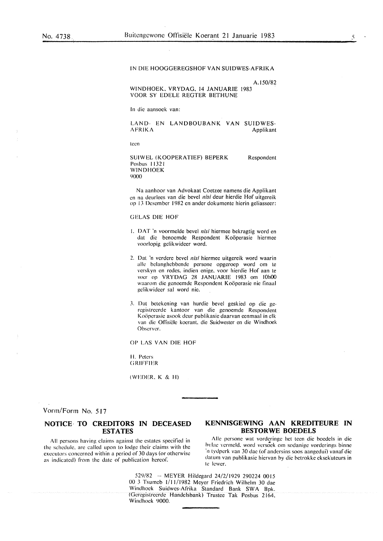IN DIE HOOGGEREGSHOF VAN SUIDWES-AFRIKA

A.150/82

WINDHOEK. VRYDAG, 14 JANUARIE 1983 VOOR SY EDELE REGTER BETHUNE

In die aansock van:

LAND- EN LANDBOUBANK VAN SUIDWES-<br>AFRIKA Applikant Applikant

teen

SUIWEL (KOOPERATIEF) BEPERK Posbus I 1321 WINDHOEK 9000 Respondent

Na aanhoor van Advokaat Coetzee namens die Applikant en na dcurlccs van die bevel *nisi* deur hierdie Hof uitgereik op 13 Desember 1982 en ander dokumente hierin geliasseer:

## GELAS DIE HOF

- I. DAT 'n voormcldc bevel *nisi* hiermee bekragtig word en dat die benoemde Respondent Koöperasie hiermee voorlopig gclikwideer word.
- 2. Dal 'n verderc bevel *nisi* hiermee uitgereik word waarin allc belanghebbcnde persone opgerocp word om te vcrskyn en rcdes. indien enige. voor hierdie Hof aan te vocr op VRYDAG 28 JANUARIE 1983 om IOhOO waarom die genoemde Respondent Koöperasie nie finaal gclikwidccr sal word nie.
- 3. Dat bctekening van hurdie bevel geskied op die gercgistrccrde kantoor van die genoemde Respondent Koöperasie asook deur publikasie daarvan eenmaal in elk van die Ollisiclc kocrant. die Suidwester en die Windhoek Observer.

OP LAS VAN DIE HOF

IL Peters **GRIFFIER** 

(Wl·:J)ER. K & **H)** 

Vonn/Form No. 517

## **NOTICE· TO CREDITORS IN DECEASED ESTATES**

All persons having claims against the estates specified in the schedule. arc called upon to lodge their claims with the executors concerned within a period of 30 days (or otherwise as indicated) from the date of publication hereof.

## **KENNISGEWING AAN KREDITEURE IN BESTORWE BOEDELS**

Alie pcrsonc wat vorderingc hct teen die bocdels in die bylae vermeld, word versoek om sodanige vorderings binne ·11 tydperk van 30 dac (of andcrsins soos aangedui) vanaf die datum van publikasie hiervan by die betrokke eksekuteurs in te lewer.

 $529/82$  -- MEYER Hildegard  $24/2/1929$  290224 0015 00 3 Tsumcb 1/11/1982 Meyer Friedrich Wilhelm 30 dae Windhoek Suidwes-Afrika Standard Bank SWA Bpk. (Gcrcgistrccrdc Handclsbank) Trustee Tak Posbus 2164. Windhoek 9000.

*5*